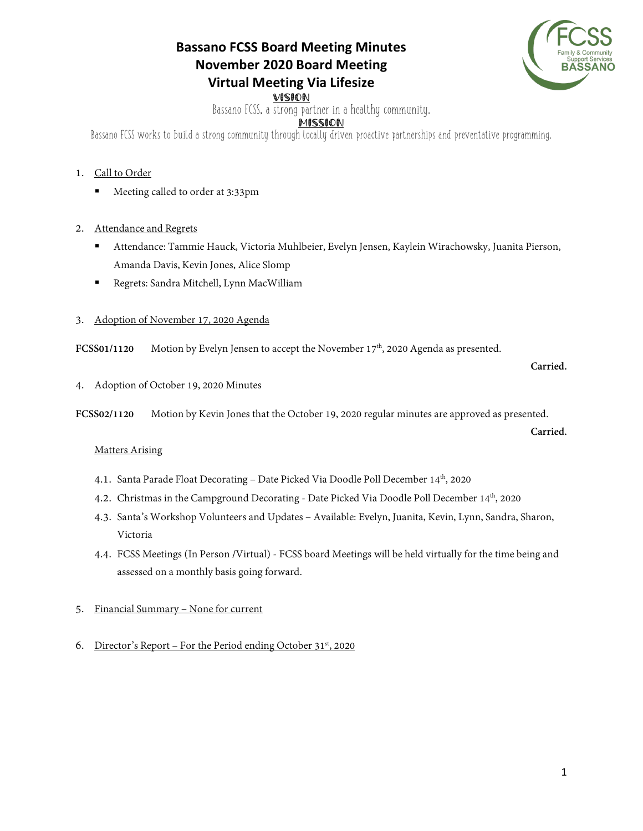# **Bassano FCSS Board Meeting Minutes November 2020 Board Meeting Virtual Meeting Via Lifesize**



VISION Bassano FCSS, a strong partner in a healthy community.

## MISSION

Bassano FCSS works to build a strong community through locally driven proactive partnerships and preventative programming.

### 1. Call to Order

Meeting called to order at 3:33pm

#### 2. Attendance and Regrets

- Attendance: Tammie Hauck, Victoria Muhlbeier, Evelyn Jensen, Kaylein Wirachowsky, Juanita Pierson, Amanda Davis, Kevin Jones, Alice Slomp
- Regrets: Sandra Mitchell, Lynn MacWilliam

#### 3. Adoption of November 17, 2020 Agenda

FCSS01/1120 Motion by Evelyn Jensen to accept the November 17<sup>th</sup>, 2020 Agenda as presented.

**Carried.** 

**Carried.** 

4. Adoption of October 19, 2020 Minutes

**FCSS02/1120** Motion by Kevin Jones that the October 19, 2020 regular minutes are approved as presented.

### Matters Arising

- 4.1. Santa Parade Float Decorating Date Picked Via Doodle Poll December 14<sup>th</sup>, 2020
- 4.2. Christmas in the Campground Decorating Date Picked Via Doodle Poll December  $14<sup>th</sup>$ , 2020
- 4.3. Santa's Workshop Volunteers and Updates Available: Evelyn, Juanita, Kevin, Lynn, Sandra, Sharon, Victoria
- 4.4. FCSS Meetings (In Person /Virtual) FCSS board Meetings will be held virtually for the time being and assessed on a monthly basis going forward.
- 5. Financial Summary None for current
- 6. Director's Report For the Period ending October  $31^{st}$ , 2020